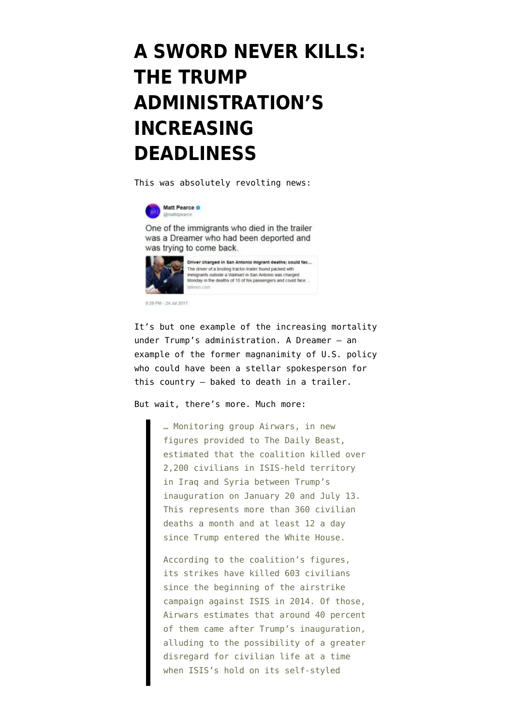## **[A SWORD NEVER KILLS:](https://www.emptywheel.net/2017/07/25/a-sword-never-kills-the-trump-administrationss-increasing-deadliness/) [THE TRUMP](https://www.emptywheel.net/2017/07/25/a-sword-never-kills-the-trump-administrationss-increasing-deadliness/) [ADMINISTRATION'S](https://www.emptywheel.net/2017/07/25/a-sword-never-kills-the-trump-administrationss-increasing-deadliness/) [INCREASING](https://www.emptywheel.net/2017/07/25/a-sword-never-kills-the-trump-administrationss-increasing-deadliness/) [DEADLINESS](https://www.emptywheel.net/2017/07/25/a-sword-never-kills-the-trump-administrationss-increasing-deadliness/)**

This was [absolutely revolting news](http://www.latimes.com/nation/la-na-texas-migrant-deaths-20170724-story.html):



One of the immigrants who died in the trailer was a Dreamer who had been deported and was trying to come back.

es con



9 20 PM - 24 34 2017

It's but one example of the increasing mortality under Trump's administration. A [Dreamer](https://unitedwedream.org/about/projects/deferred-action/) — an example of the former magnanimity of U.S. policy who could have been a stellar spokesperson for this country — baked to death in a trailer.

But wait, there's more. Much more:

… Monitoring group Airwars, in new figures provided to The Daily Beast, estimated that the coalition killed over 2,200 civilians in ISIS-held territory in Iraq and Syria between Trump's inauguration on January 20 and July 13. This represents more than 360 civilian deaths a month and at least 12 a day since Trump entered the White House.

According to the coalition's figures, its strikes have killed 603 civilians since the beginning of the airstrike campaign against ISIS in 2014. Of those, Airwars estimates that around 40 percent of them came after Trump's inauguration, alluding to the possibility of a greater disregard for civilian life at a time when ISIS's hold on its self-styled